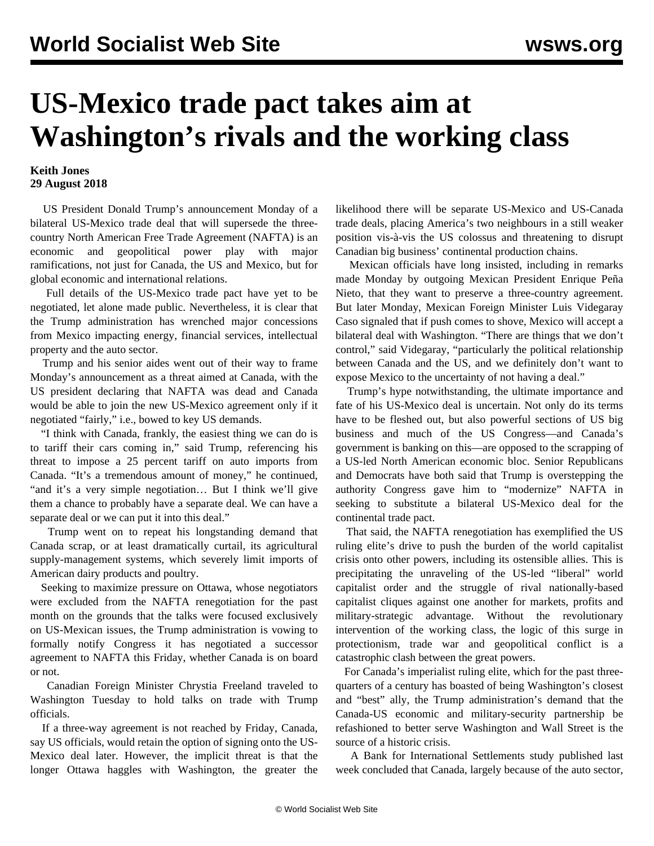## **US-Mexico trade pact takes aim at Washington's rivals and the working class**

## **Keith Jones 29 August 2018**

 US President Donald Trump's announcement Monday of a bilateral US-Mexico trade deal that will supersede the threecountry North American Free Trade Agreement (NAFTA) is an economic and geopolitical power play with major ramifications, not just for Canada, the US and Mexico, but for global economic and international relations.

 Full details of the US-Mexico trade pact have yet to be negotiated, let alone made public. Nevertheless, it is clear that the Trump administration has wrenched major concessions from Mexico impacting energy, financial services, intellectual property and the auto sector.

 Trump and his senior aides went out of their way to frame Monday's announcement as a threat aimed at Canada, with the US president declaring that NAFTA was dead and Canada would be able to join the new US-Mexico agreement only if it negotiated "fairly," i.e., bowed to key US demands.

 "I think with Canada, frankly, the easiest thing we can do is to tariff their cars coming in," said Trump, referencing his threat to impose a 25 percent tariff on auto imports from Canada. "It's a tremendous amount of money," he continued, "and it's a very simple negotiation… But I think we'll give them a chance to probably have a separate deal. We can have a separate deal or we can put it into this deal."

 Trump went on to repeat his longstanding demand that Canada scrap, or at least dramatically curtail, its agricultural supply-management systems, which severely limit imports of American dairy products and poultry.

 Seeking to maximize pressure on Ottawa, whose negotiators were excluded from the NAFTA renegotiation for the past month on the grounds that the talks were focused exclusively on US-Mexican issues, the Trump administration is vowing to formally notify Congress it has negotiated a successor agreement to NAFTA this Friday, whether Canada is on board or not.

 Canadian Foreign Minister Chrystia Freeland traveled to Washington Tuesday to hold talks on trade with Trump officials.

 If a three-way agreement is not reached by Friday, Canada, say US officials, would retain the option of signing onto the US-Mexico deal later. However, the implicit threat is that the longer Ottawa haggles with Washington, the greater the likelihood there will be separate US-Mexico and US-Canada trade deals, placing America's two neighbours in a still weaker position vis-à-vis the US colossus and threatening to disrupt Canadian big business' continental production chains.

 Mexican officials have long insisted, including in remarks made Monday by outgoing Mexican President Enrique Peña Nieto, that they want to preserve a three-country agreement. But later Monday, Mexican Foreign Minister Luis Videgaray Caso signaled that if push comes to shove, Mexico will accept a bilateral deal with Washington. "There are things that we don't control," said Videgaray, "particularly the political relationship between Canada and the US, and we definitely don't want to expose Mexico to the uncertainty of not having a deal."

 Trump's hype notwithstanding, the ultimate importance and fate of his US-Mexico deal is uncertain. Not only do its terms have to be fleshed out, but also powerful sections of US big business and much of the US Congress—and Canada's government is banking on this—are opposed to the scrapping of a US-led North American economic bloc. Senior Republicans and Democrats have both said that Trump is overstepping the authority Congress gave him to "modernize" NAFTA in seeking to substitute a bilateral US-Mexico deal for the continental trade pact.

 That said, the NAFTA renegotiation has exemplified the US ruling elite's drive to push the burden of the world capitalist crisis onto other powers, including its ostensible allies. This is precipitating the unraveling of the US-led "liberal" world capitalist order and the struggle of rival nationally-based capitalist cliques against one another for markets, profits and military-strategic advantage. Without the revolutionary intervention of the working class, the logic of this surge in protectionism, trade war and geopolitical conflict is a catastrophic clash between the great powers.

 For Canada's imperialist ruling elite, which for the past threequarters of a century has boasted of being Washington's closest and "best" ally, the Trump administration's demand that the Canada-US economic and military-security partnership be refashioned to better serve Washington and Wall Street is the source of a historic crisis.

 A Bank for International Settlements study published last week concluded that Canada, largely because of the auto sector,